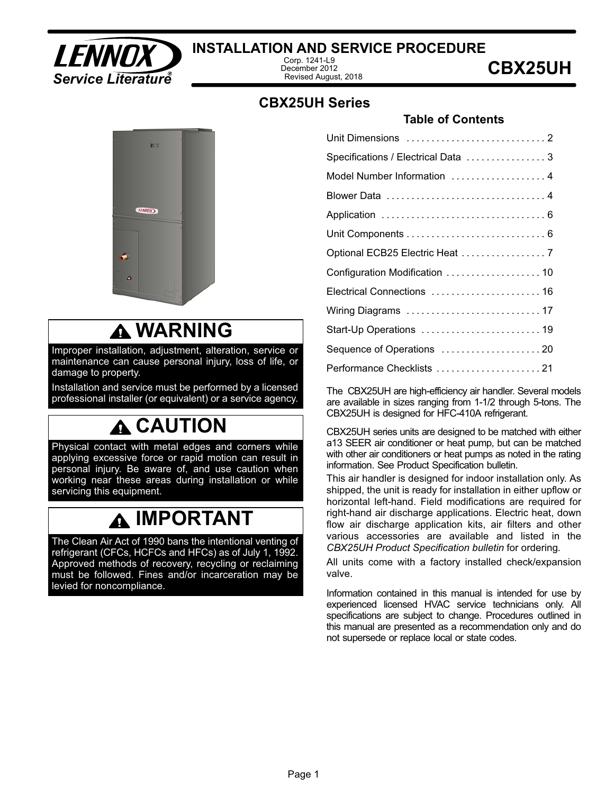

### **INSTALLATION AND SERVICE PROCEDURE**

Corp. 1241-L9 December 2012 Revised August, 2018

### **CBX25UH Series**

#### **Table of Contents**

|   | <b>EST</b>    | H      |   |
|---|---------------|--------|---|
|   | <b>LENNOX</b> | ٠      |   |
| r |               | ı      |   |
|   |               | ٠<br>٠ | ٠ |

### **WARNING**

Improper installation, adjustment, alteration, service or maintenance can cause personal injury, loss of life, or damage to property.

Installation and service must be performed by a licensed professional installer (or equivalent) or a service agency.

# **CAUTION**

Physical contact with metal edges and corners while applying excessive force or rapid motion can result in personal injury. Be aware of, and use caution when working near these areas during installation or while servicing this equipment.

# **IMPORTANT**

The Clean Air Act of 1990 bans the intentional venting of refrigerant (CFCs, HCFCs and HFCs) as of July 1, 1992. Approved methods of recovery, recycling or reclaiming must be followed. Fines and/or incarceration may be levied for noncompliance.

| Specifications / Electrical Data  3 |
|-------------------------------------|
| Model Number Information  4         |
| Blower Data  4                      |
|                                     |
|                                     |
|                                     |
| Configuration Modification  10      |
| Electrical Connections  16          |
| Wiring Diagrams  17                 |
| Start-Up Operations  19             |
|                                     |
| Performance Checklists 21           |

The CBX25UH are high-efficiency air handler. Several models are available in sizes ranging from 1‐1/2 through 5-tons. The CBX25UH is designed for HFC-410A refrigerant.

CBX25UH series units are designed to be matched with either a13 SEER air conditioner or heat pump, but can be matched with other air conditioners or heat pumps as noted in the rating information. See Product Specification bulletin.

This air handler is designed for indoor installation only. As shipped, the unit is ready for installation in either upflow or horizontal left-hand. Field modifications are required for right-hand air discharge applications. Electric heat, down flow air discharge application kits, air filters and other various accessories are available and listed in the *CBX25UH Product Specification bulletin* for ordering*.*

All units come with a factory installed check/expansion valve.

Information contained in this manual is intended for use by experienced licensed HVAC service technicians only. All specifications are subject to change. Procedures outlined in this manual are presented as a recommendation only and do not supersede or replace local or state codes.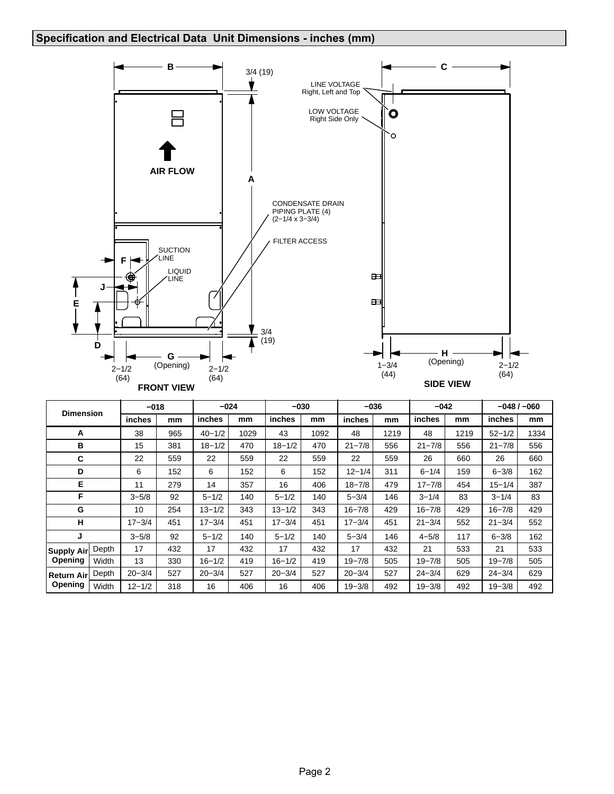#### <span id="page-1-0"></span>**Specification and Electrical Data Unit Dimensions - inches (mm)**



| <b>Dimension</b> |       | $-018$     |     | $-024$     |      | $-030$     |      | $-036$     |      | $-042$     |      |            | $-048/ -060$ |
|------------------|-------|------------|-----|------------|------|------------|------|------------|------|------------|------|------------|--------------|
|                  |       | inches     | mm  | inches     | mm   | inches     | mm   | inches     | mm   | inches     | mm   | inches     | mm           |
| A                |       | 38         | 965 | $40 - 1/2$ | 1029 | 43         | 1092 | 48         | 1219 | 48         | 1219 | $52 - 1/2$ | 1334         |
| в                |       | 15         | 381 | $18 - 1/2$ | 470  | $18 - 1/2$ | 470  | $21 - 7/8$ | 556  | $21 - 7/8$ | 556  | $21 - 7/8$ | 556          |
| C                |       | 22         | 559 | 22         | 559  | 22         | 559  | 22         | 559  | 26         | 660  | 26         | 660          |
| D                |       | 6          | 152 | 6          | 152  | 6          | 152  | $12 - 1/4$ | 311  | $6 - 1/4$  | 159  | $6 - 3/8$  | 162          |
| Е                |       | 11         | 279 | 14         | 357  | 16         | 406  | $18 - 7/8$ | 479  | $17 - 7/8$ | 454  | $15 - 1/4$ | 387          |
| F                |       | $3 - 5/8$  | 92  | $5 - 1/2$  | 140  | $5 - 1/2$  | 140  | $5 - 3/4$  | 146  | $3 - 1/4$  | 83   | $3 - 1/4$  | 83           |
| G                |       | 10         | 254 | $13 - 1/2$ | 343  | $13 - 1/2$ | 343  | $16 - 7/8$ | 429  | $16 - 7/8$ | 429  | $16 - 7/8$ | 429          |
| н                |       | $17 - 3/4$ | 451 | $17 - 3/4$ | 451  | $17 - 3/4$ | 451  | $17 - 3/4$ | 451  | $21 - 3/4$ | 552  | $21 - 3/4$ | 552          |
| J                |       | $3 - 5/8$  | 92  | $5 - 1/2$  | 140  | $5 - 1/2$  | 140  | $5 - 3/4$  | 146  | $4 - 5/8$  | 117  | $6 - 3/8$  | 162          |
| Supply Air       | Depth | 17         | 432 | 17         | 432  | 17         | 432  | 17         | 432  | 21         | 533  | 21         | 533          |
| Opening          | Width | 13         | 330 | $16 - 1/2$ | 419  | $16 - 1/2$ | 419  | $19 - 7/8$ | 505  | $19 - 7/8$ | 505  | $19 - 7/8$ | 505          |
| ∣Return Airİ     | Depth | $20 - 3/4$ | 527 | $20 - 3/4$ | 527  | $20 - 3/4$ | 527  | $20 - 3/4$ | 527  | $24 - 3/4$ | 629  | $24 - 3/4$ | 629          |
| Opening          | Width | $12 - 1/2$ | 318 | 16         | 406  | 16         | 406  | $19 - 3/8$ | 492  | $19 - 3/8$ | 492  | $19 - 3/8$ | 492          |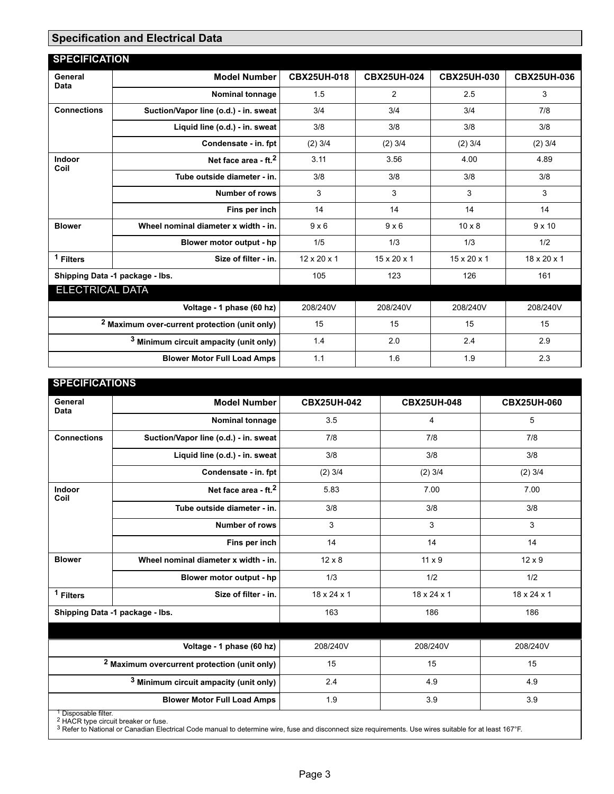#### <span id="page-2-0"></span>**Specification and Electrical Data**

| <b>SPECIFICATION</b>                                     |                                                   |                         |                         |                         |                         |
|----------------------------------------------------------|---------------------------------------------------|-------------------------|-------------------------|-------------------------|-------------------------|
| General<br>Data                                          | <b>Model Number</b>                               | <b>CBX25UH-018</b>      | <b>CBX25UH-024</b>      | <b>CBX25UH-030</b>      | <b>CBX25UH-036</b>      |
|                                                          | <b>Nominal tonnage</b>                            | 1.5                     | 2                       | 2.5                     | 3                       |
| <b>Connections</b>                                       | Suction/Vapor line (o.d.) - in. sweat             | 3/4                     | 3/4                     | 3/4                     | 7/8                     |
|                                                          | Liquid line (o.d.) - in. sweat                    | 3/8                     | 3/8                     | 3/8                     | 3/8                     |
|                                                          | Condensate - in. fpt                              | $(2)$ 3/4               | $(2)$ 3/4               | $(2)$ 3/4               | $(2)$ 3/4               |
| Indoor<br>Coil                                           | Net face area - ft. <sup>2</sup>                  | 3.11                    | 3.56                    | 4.00                    | 4.89                    |
|                                                          | Tube outside diameter - in.                       | 3/8                     | 3/8                     | 3/8                     | 3/8                     |
|                                                          | <b>Number of rows</b>                             | 3                       | 3                       | 3                       | 3                       |
|                                                          | Fins per inch                                     | 14                      | 14                      | 14                      | 14                      |
| <b>Blower</b>                                            | Wheel nominal diameter x width - in.              | $9 \times 6$            | $9 \times 6$            | $10 \times 8$           | $9 \times 10$           |
|                                                          | Blower motor output - hp                          | 1/5                     | 1/3                     | 1/3                     | 1/2                     |
| $1$ Filters                                              | Size of filter - in.                              | $12 \times 20 \times 1$ | $15 \times 20 \times 1$ | $15 \times 20 \times 1$ | $18 \times 20 \times 1$ |
|                                                          | Shipping Data -1 package - lbs.                   | 105                     | 123                     | 126                     | 161                     |
| <b>ELECTRICAL DATA</b>                                   |                                                   |                         |                         |                         |                         |
|                                                          | Voltage - 1 phase (60 hz)                         | 208/240V                | 208/240V                | 208/240V                | 208/240V                |
| <sup>2</sup> Maximum over-current protection (unit only) |                                                   | 15                      | 15                      | 15                      | 15                      |
|                                                          | <sup>3</sup> Minimum circuit ampacity (unit only) | 1.4                     | 2.0                     | 2.4                     | 2.9                     |
|                                                          | <b>Blower Motor Full Load Amps</b>                | 1.1                     | 1.6                     | 1.9                     | 2.3                     |

| <b>SPECIFICATIONS</b>           |                                                         |                         |                         |                         |
|---------------------------------|---------------------------------------------------------|-------------------------|-------------------------|-------------------------|
| General<br>Data                 | <b>Model Number</b>                                     | <b>CBX25UH-042</b>      | <b>CBX25UH-048</b>      | <b>CBX25UH-060</b>      |
|                                 | Nominal tonnage                                         | 3.5                     | 4                       | 5                       |
| <b>Connections</b>              | Suction/Vapor line (o.d.) - in. sweat                   | 7/8                     | 7/8                     | 7/8                     |
|                                 | Liquid line (o.d.) - in. sweat                          | 3/8                     | 3/8                     | 3/8                     |
|                                 | Condensate - in. fpt                                    | $(2)$ 3/4               | $(2)$ 3/4               | $(2)$ 3/4               |
| Indoor<br>Coil                  | Net face area - ft. <sup>2</sup>                        | 5.83                    | 7.00                    | 7.00                    |
|                                 | Tube outside diameter - in.                             | 3/8                     | 3/8                     | 3/8                     |
|                                 | <b>Number of rows</b>                                   | 3                       | 3                       | 3                       |
|                                 | Fins per inch                                           | 14                      | 14                      | 14                      |
| <b>Blower</b>                   | Wheel nominal diameter x width - in.                    | $12 \times 8$           | $11 \times 9$           | $12 \times 9$           |
|                                 | Blower motor output - hp                                | 1/3                     | 1/2                     | 1/2                     |
| <sup>1</sup> Filters            | Size of filter - in.                                    | $18 \times 24 \times 1$ | $18 \times 24 \times 1$ | $18 \times 24 \times 1$ |
|                                 | Shipping Data -1 package - Ibs.                         | 163                     | 186                     | 186                     |
|                                 |                                                         |                         |                         |                         |
|                                 | Voltage - 1 phase (60 hz)                               | 208/240V                | 208/240V                | 208/240V                |
|                                 | <sup>2</sup> Maximum overcurrent protection (unit only) | 15                      | 15                      | 15                      |
|                                 | <sup>3</sup> Minimum circuit ampacity (unit only)       | 2.4                     | 4.9                     | 4.9                     |
|                                 | <b>Blower Motor Full Load Amps</b>                      | 1.9                     | 3.9                     | 3.9                     |
| <sup>1</sup> Disposable filter. |                                                         |                         |                         |                         |

<sup>1</sup> Disposable filter.<br><sup>2</sup> HACR type circuit breaker or fuse.<br><sup>3</sup> Refer to National or Canadian Electrical Code manual to determine wire, fuse and disconnect size requirements. Use wires suitable for at least 167°F.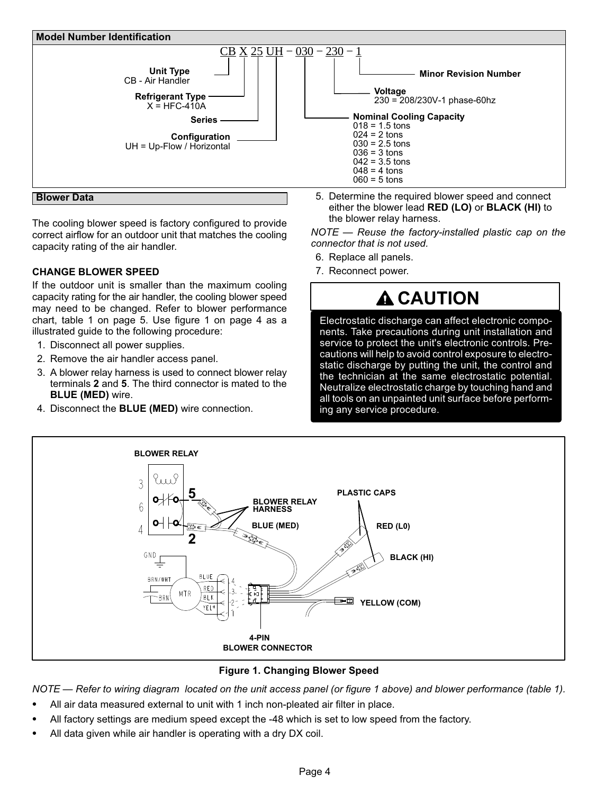<span id="page-3-0"></span>

**Blower Data** 

The cooling blower speed is factory configured to provide correct airflow for an outdoor unit that matches the cooling capacity rating of the air handler.

#### **CHANGE BLOWER SPEED**

If the outdoor unit is smaller than the maximum cooling capacity rating for the air handler, the cooling blower speed may need to be changed. Refer to blower performance chart, table [1](#page-4-0) on page [5](#page-4-0). Use figure 1 on page 4 as a illustrated guide to the following procedure:

- 1. Disconnect all power supplies.
- 2. Remove the air handler access panel.
- 3. A blower relay harness is used to connect blower relay terminals **2** and **5**. The third connector is mated to the **BLUE (MED)** wire.
- 4. Disconnect the **BLUE (MED)** wire connection.

5. Determine the required blower speed and connect either the blower lead **RED (LO)** or **BLACK (HI)** to the blower relay harness.

*NOTE — Reuse the factory-installed plastic cap on the connector that is not used.*

- 6. Replace all panels.
- 7. Reconnect power.

# **A** CAUTION

Electrostatic discharge can affect electronic components. Take precautions during unit installation and service to protect the unit's electronic controls. Precautions will help to avoid control exposure to electrostatic discharge by putting the unit, the control and the technician at the same electrostatic potential. Neutralize electrostatic charge by touching hand and all tools on an unpainted unit surface before performing any service procedure.



**Figure 1. Changing Blower Speed**

*NOTE — Refer to wiring diagram located on the unit access panel (or figure 1 above) and blower performance (table [1](#page-4-0)).* -

- All air data measured external to unit with 1 inch non-pleated air filter in place. -
- All factory settings are medium speed except the -48 which is set to low speed from the factory. -
- All data given while air handler is operating with a dry DX coil.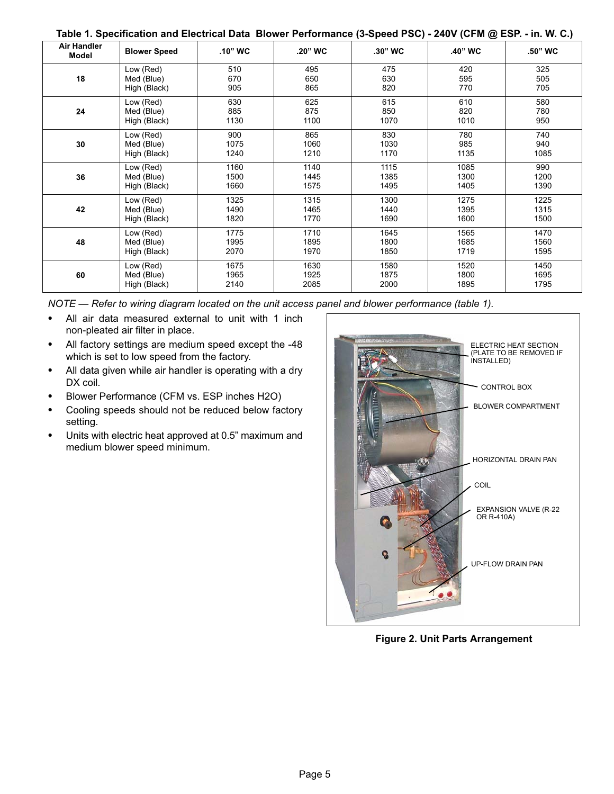| Table 1. Specification and Electrical Data Blower Performance (3-Speed PSC) - 240V (CFM @ ESP. - in. W. C.) |  |  |
|-------------------------------------------------------------------------------------------------------------|--|--|
|-------------------------------------------------------------------------------------------------------------|--|--|

<span id="page-4-0"></span>

| Air Handler<br>Model | <b>Blower Speed</b> | $.10"$ WC | .20" WC | .30" WC | ◡<br>.40" WC | .50" WC |
|----------------------|---------------------|-----------|---------|---------|--------------|---------|
| 18                   | Low (Red)           | 510       | 495     | 475     | 420          | 325     |
|                      | Med (Blue)          | 670       | 650     | 630     | 595          | 505     |
|                      | High (Black)        | 905       | 865     | 820     | 770          | 705     |
| 24                   | Low (Red)           | 630       | 625     | 615     | 610          | 580     |
|                      | Med (Blue)          | 885       | 875     | 850     | 820          | 780     |
|                      | High (Black)        | 1130      | 1100    | 1070    | 1010         | 950     |
| 30                   | Low (Red)           | 900       | 865     | 830     | 780          | 740     |
|                      | Med (Blue)          | 1075      | 1060    | 1030    | 985          | 940     |
|                      | High (Black)        | 1240      | 1210    | 1170    | 1135         | 1085    |
| 36                   | Low (Red)           | 1160      | 1140    | 1115    | 1085         | 990     |
|                      | Med (Blue)          | 1500      | 1445    | 1385    | 1300         | 1200    |
|                      | High (Black)        | 1660      | 1575    | 1495    | 1405         | 1390    |
| 42                   | Low (Red)           | 1325      | 1315    | 1300    | 1275         | 1225    |
|                      | Med (Blue)          | 1490      | 1465    | 1440    | 1395         | 1315    |
|                      | High (Black)        | 1820      | 1770    | 1690    | 1600         | 1500    |
| 48                   | Low (Red)           | 1775      | 1710    | 1645    | 1565         | 1470    |
|                      | Med (Blue)          | 1995      | 1895    | 1800    | 1685         | 1560    |
|                      | High (Black)        | 2070      | 1970    | 1850    | 1719         | 1595    |
| 60                   | Low (Red)           | 1675      | 1630    | 1580    | 1520         | 1450    |
|                      | Med (Blue)          | 1965      | 1925    | 1875    | 1800         | 1695    |
|                      | High (Black)        | 2140      | 2085    | 2000    | 1895         | 1795    |

*NOTE — Refer to wiring diagram located on the unit access panel and blower performance (table 1).* -

- All air data measured external to unit with 1 inch non-pleated air filter in place.
- $\bullet$  All factory settings are medium speed except the -48 which is set to low speed from the factory.
- All data given while air handler is operating with a dry DX coil.
- Blower Performance (CFM vs. ESP inches H2O) -
- Cooling speeds should not be reduced below factory setting.
- $\bullet$  Units with electric heat approved at 0.5" maximum and medium blower speed minimum.



**Figure 2. Unit Parts Arrangement**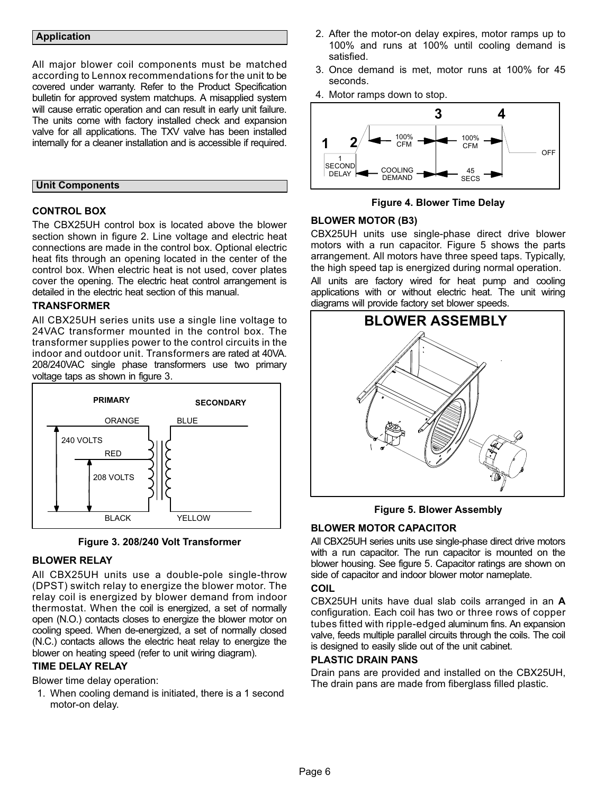#### <span id="page-5-0"></span>**Application**

All major blower coil components must be matched according to Lennox recommendations for the unit to be covered under warranty. Refer to the Product Specification bulletin for approved system matchups. A misapplied system will cause erratic operation and can result in early unit failure. The units come with factory installed check and expansion valve for all applications. The TXV valve has been installed internally for a cleaner installation and is accessible if required.

#### **Unit Components**

#### **CONTROL BOX**

The CBX25UH control box is located above the blower section shown in figure [2.](#page-4-0) Line voltage and electric heat connections are made in the control box. Optional electric heat fits through an opening located in the center of the control box. When electric heat is not used, cover plates cover the opening. The electric heat control arrangement is detailed in the electric heat section of this manual.

#### **TRANSFORMER**

All CBX25UH series units use a single line voltage to 24VAC transformer mounted in the control box. The transformer supplies power to the control circuits in the indoor and outdoor unit. Transformers are rated at 40VA. 208/240VAC single phase transformers use two primary voltage taps as shown in figure 3.





#### **BLOWER RELAY**

All CBX25UH units use a double-pole single-throw (DPST) switch relay to energize the blower motor. The relay coil is energized by blower demand from indoor thermostat. When the coil is energized, a set of normally open (N.O.) contacts closes to energize the blower motor on cooling speed. When de-energized, a set of normally closed (N.C.) contacts allows the electric heat relay to energize the blower on heating speed (refer to unit wiring diagram).

#### **TIME DELAY RELAY**

Blower time delay operation:

1. When cooling demand is initiated, there is a 1 second motor-on delay.

- 2. After the motor-on delay expires, motor ramps up to 100% and runs at 100% until cooling demand is satisfied.
- 3. Once demand is met, motor runs at 100% for 45 seconds.
- 4. Motor ramps down to stop.



**Figure 4. Blower Time Delay**

#### **BLOWER MOTOR (B3)**

CBX25UH units use single-phase direct drive blower motors with a run capacitor. Figure 5 shows the parts arrangement. All motors have three speed taps. Typically, the high speed tap is energized during normal operation.

All units are factory wired for heat pump and cooling applications with or without electric heat. The unit wiring diagrams will provide factory set blower speeds.



**Figure 5. Blower Assembly**

#### **BLOWER MOTOR CAPACITOR**

All CBX25UH series units use single-phase direct drive motors with a run capacitor. The run capacitor is mounted on the blower housing. See figure 5. Capacitor ratings are shown on side of capacitor and indoor blower motor nameplate.

#### **COIL**

CBX25UH units have dual slab coils arranged in an **A** configuration. Each coil has two or three rows of copper tubes fitted with ripple-edged aluminum fins. An expansion valve, feeds multiple parallel circuits through the coils. The coil is designed to easily slide out of the unit cabinet.

#### **PLASTIC DRAIN PANS**

Drain pans are provided and installed on the CBX25UH, The drain pans are made from fiberglass filled plastic.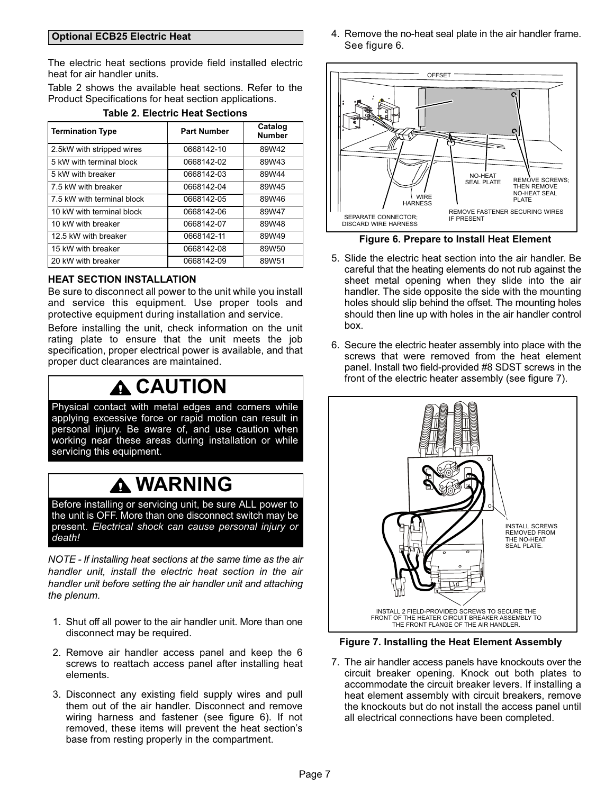#### <span id="page-6-0"></span>**Optional ECB25 Electric Heat**

The electric heat sections provide field installed electric heat for air handler units.

Table 2 shows the available heat sections. Refer to the Product Specifications for heat section applications.

| <b>Termination Type</b>    | <b>Part Number</b> | Catalog<br><b>Number</b> |
|----------------------------|--------------------|--------------------------|
| 2.5kW with stripped wires  | 0668142-10         | 89W42                    |
| 5 kW with terminal block   | 0668142-02         | 89W43                    |
| 5 kW with breaker          | 0668142-03         | 89W44                    |
| 7.5 kW with breaker        | 0668142-04         | 89W45                    |
| 7.5 kW with terminal block | 0668142-05         | 89W46                    |
| 10 kW with terminal block  | 0668142-06         | 89W47                    |
| 10 kW with breaker         | 0668142-07         | 89W48                    |
| 12.5 kW with breaker       | 0668142-11         | 89W49                    |
| 15 kW with breaker         | 0668142-08         | 89W50                    |
| 20 kW with breaker         | 0668142-09         | 89W51                    |

#### **Table 2. Electric Heat Sections**

#### **HEAT SECTION INSTALLATION**

Be sure to disconnect all power to the unit while you install and service this equipment. Use proper tools and protective equipment during installation and service.

Before installing the unit, check information on the unit rating plate to ensure that the unit meets the job specification, proper electrical power is available, and that proper duct clearances are maintained.

### **CAUTION**

Physical contact with metal edges and corners while applying excessive force or rapid motion can result in personal injury. Be aware of, and use caution when working near these areas during installation or while servicing this equipment.

### **WARNING**

Before installing or servicing unit, be sure ALL power to the unit is OFF. More than one disconnect switch may be present. *Electrical shock can cause personal injury or death!*

*NOTE - If installing heat sections at the same time as the air handler unit, install the electric heat section in the air handler unit before setting the air handler unit and attaching the plenum.*

- 1. Shut off all power to the air handler unit. More than one disconnect may be required.
- 2. Remove air handler access panel and keep the 6 screws to reattach access panel after installing heat elements.
- 3. Disconnect any existing field supply wires and pull them out of the air handler. Disconnect and remove wiring harness and fastener (see figure 6). If not removed, these items will prevent the heat section's base from resting properly in the compartment.

4. Remove the no-heat seal plate in the air handler frame. See figure 6.



**Figure 6. Prepare to Install Heat Element**

- 5. Slide the electric heat section into the air handler. Be careful that the heating elements do not rub against the sheet metal opening when they slide into the air handler. The side opposite the side with the mounting holes should slip behind the offset. The mounting holes should then line up with holes in the air handler control box.
- 6. Secure the electric heater assembly into place with the screws that were removed from the heat element panel. Install two field-provided #8 SDST screws in the front of the electric heater assembly (see figure 7).



**Figure 7. Installing the Heat Element Assembly**

7. The air handler access panels have knockouts over the circuit breaker opening. Knock out both plates to accommodate the circuit breaker levers. If installing a heat element assembly with circuit breakers, remove the knockouts but do not install the access panel until all electrical connections have been completed.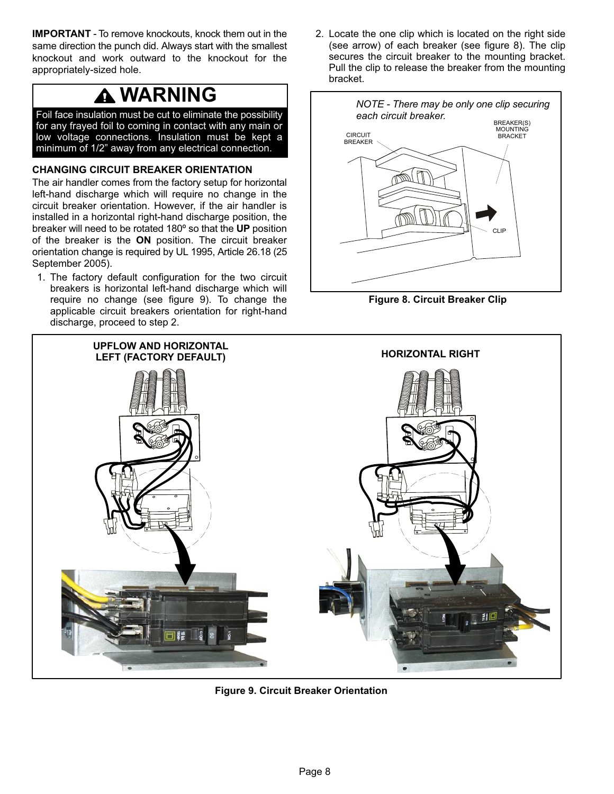<span id="page-7-0"></span>**IMPORTANT** - To remove knockouts, knock them out in the same direction the punch did. Always start with the smallest knockout and work outward to the knockout for the appropriately-sized hole.

# **A WARNING**

Foil face insulation must be cut to eliminate the possibility for any frayed foil to coming in contact with any main or low voltage connections. Insulation must be kept a minimum of 1/2" away from any electrical connection.

#### **CHANGING CIRCUIT BREAKER ORIENTATION**

The air handler comes from the factory setup for horizontal left-hand discharge which will require no change in the circuit breaker orientation. However, if the air handler is installed in a horizontal right-hand discharge position, the breaker will need to be rotated 180º so that the **UP** position of the breaker is the **ON** position. The circuit breaker orientation change is required by UL 1995, Article 26.18 (25 September 2005).

1. The factory default configuration for the two circuit breakers is horizontal left-hand discharge which will require no change (see figure 9). To change the applicable circuit breakers orientation for right-hand discharge, proceed to step 2.

2. Locate the one clip which is located on the right side (see arrow) of each breaker (see figure 8). The clip secures the circuit breaker to the mounting bracket. Pull the clip to release the breaker from the mounting bracket.



**Figure 8. Circuit Breaker Clip**



**Figure 9. Circuit Breaker Orientation**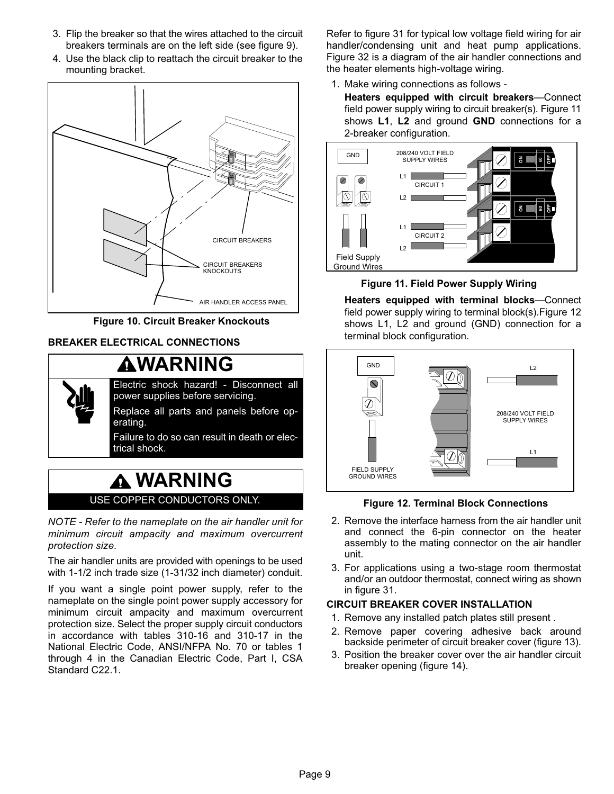- 3. Flip the breaker so that the wires attached to the circuit breakers terminals are on the left side (see figure [9](#page-7-0)).
- 4. Use the black clip to reattach the circuit breaker to the mounting bracket.



**Figure 10. Circuit Breaker Knockouts**

### **BREAKER ELECTRICAL CONNECTIONS**



### **WARNING** USE COPPER CONDUCTORS ONLY.

*NOTE - Refer to the nameplate on the air handler unit for minimum circuit ampacity and maximum overcurrent protection size.* 

The air handler units are provided with openings to be used with 1-1/2 inch trade size (1-31/32 inch diameter) conduit.

If you want a single point power supply, refer to the nameplate on the single point power supply accessory for minimum circuit ampacity and maximum overcurrent protection size. Select the proper supply circuit conductors in accordance with tables 310-16 and 310-17 in the National Electric Code, ANSI/NFPA No. 70 or tables 1 through 4 in the Canadian Electric Code, Part I, CSA Standard C22.1.

Refer to figure [31](#page-17-0) for typical low voltage field wiring for air handler/condensing unit and heat pump applications. Figure [32](#page-18-0) is a diagram of the air handler connections and the heater elements high-voltage wiring.

- 1. Make wiring connections as follows
	- **Heaters equipped with circuit breakers**—Connect field power supply wiring to circuit breaker(s). Figure 11 shows **L1**, **L2** and ground **GND** connections for a 2-breaker configuration.



**Figure 11. Field Power Supply Wiring**

**Heaters equipped with terminal blocks**—Connect field power supply wiring to terminal block(s).Figure 12 shows L1, L2 and ground (GND) connection for a terminal block configuration.



**Figure 12. Terminal Block Connections**

- 2. Remove the interface harness from the air handler unit and connect the 6-pin connector on the heater assembly to the mating connector on the air handler unit.
- 3. For applications using a two‐stage room thermostat and/or an outdoor thermostat, connect wiring as shown in figure [31](#page-17-0).

#### **CIRCUIT BREAKER COVER INSTALLATION**

- 1. Remove any installed patch plates still present .
- 2. Remove paper covering adhesive back around backside perimeter of circuit breaker cover (figure [13\)](#page-9-0).
- 3. Position the breaker cover over the air handler circuit breaker opening (figure [14\)](#page-9-0).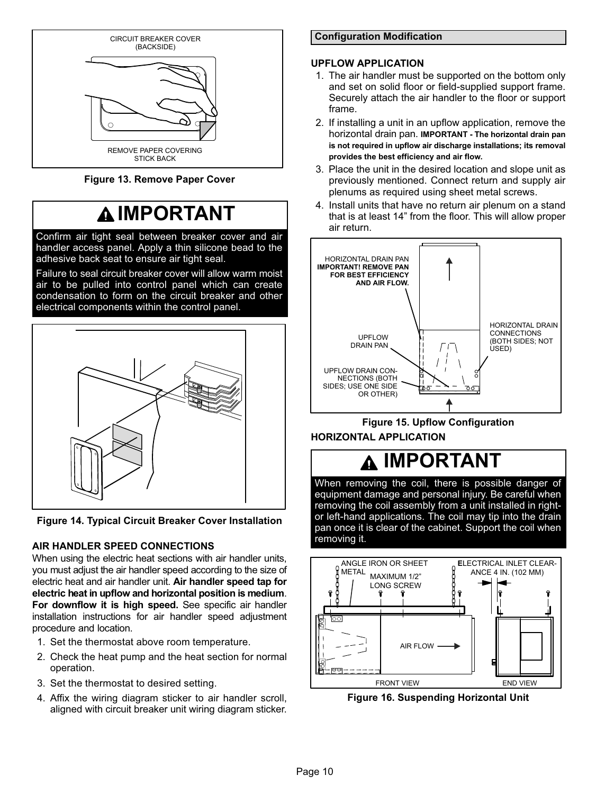<span id="page-9-0"></span>

**Figure 13. Remove Paper Cover**

# **IMPORTANT**

Confirm air tight seal between breaker cover and air handler access panel. Apply a thin silicone bead to the adhesive back seat to ensure air tight seal.

Failure to seal circuit breaker cover will allow warm moist air to be pulled into control panel which can create condensation to form on the circuit breaker and other electrical components within the control panel.



**Figure 14. Typical Circuit Breaker Cover Installation**

### **AIR HANDLER SPEED CONNECTIONS**

When using the electric heat sections with air handler units, you must adjust the air handler speed according to the size of electric heat and air handler unit. **Air handler speed tap for electric heat in upflow and horizontal position is medium**. **For downflow it is high speed.** See specific air handler installation instructions for air handler speed adjustment procedure and location.

- 1. Set the thermostat above room temperature.
- 2. Check the heat pump and the heat section for normal operation.
- 3. Set the thermostat to desired setting.
- 4. Affix the wiring diagram sticker to air handler scroll, aligned with circuit breaker unit wiring diagram sticker.

#### **Configuration Modification**

#### **UPFLOW APPLICATION**

- 1. The air handler must be supported on the bottom only and set on solid floor or field‐supplied support frame. Securely attach the air handler to the floor or support frame.
- 2. If installing a unit in an upflow application, remove the horizontal drain pan. **IMPORTANT - The horizontal drain pan is not required in upflow air discharge installations; its removal provides the best efficiency and air flow.**
- 3. Place the unit in the desired location and slope unit as previously mentioned. Connect return and supply air plenums as required using sheet metal screws.
- 4. Install units that have no return air plenum on a stand that is at least 14" from the floor. This will allow proper air return.





#### **HORIZONTAL APPLICATION**

### **IMPORTANT**

When removing the coil, there is possible danger of equipment damage and personal injury. Be careful when removing the coil assembly from a unit installed in rightor left-hand applications. The coil may tip into the drain pan once it is clear of the cabinet. Support the coil when removing it.



**Figure 16. Suspending Horizontal Unit**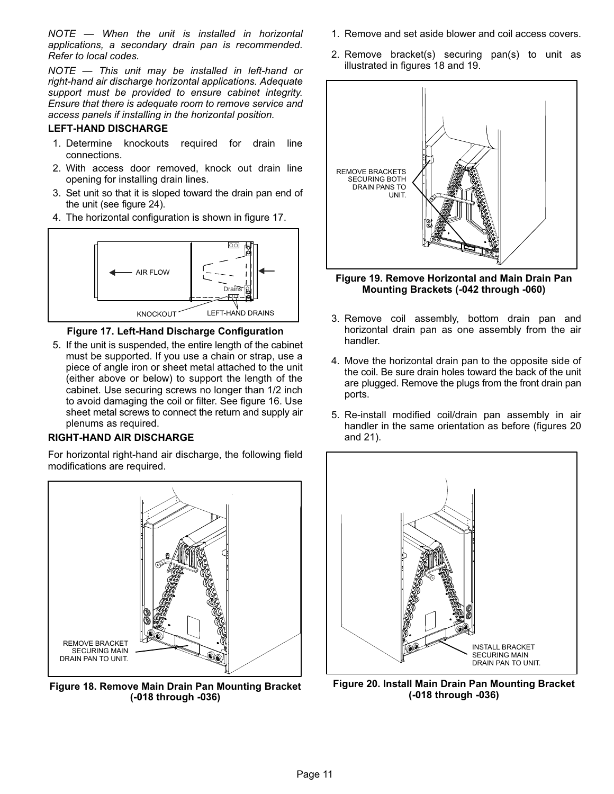*NOTE — When the unit is installed in horizontal applications, a secondary drain pan is recommended. Refer to local codes.*

*NOTE — This unit may be installed in left-hand or right-hand air discharge horizontal applications. Adequate support must be provided to ensure cabinet integrity. Ensure that there is adequate room to remove service and access panels if installing in the horizontal position.*

#### **LEFT-HAND DISCHARGE**

- 1. Determine knockouts required for drain line connections.
- 2. With access door removed, knock out drain line opening for installing drain lines.
- 3. Set unit so that it is sloped toward the drain pan end of the unit (see figure [24](#page-12-0)).
- 4. The horizontal configuration is shown in figure 17.



**Figure 17. Left‐Hand Discharge Configuration**

5. If the unit is suspended, the entire length of the cabinet must be supported. If you use a chain or strap, use a piece of angle iron or sheet metal attached to the unit (either above or below) to support the length of the cabinet. Use securing screws no longer than 1/2 inch to avoid damaging the coil or filter. See figure [16.](#page-9-0) Use sheet metal screws to connect the return and supply air plenums as required.

#### **RIGHT-HAND AIR DISCHARGE**

For horizontal right-hand air discharge, the following field modifications are required.



**Figure 18. Remove Main Drain Pan Mounting Bracket (-018 through -036)**

- 1. Remove and set aside blower and coil access covers.
- 2. Remove bracket(s) securing pan(s) to unit as illustrated in figures 18 and 19.



**Figure 19. Remove Horizontal and Main Drain Pan Mounting Brackets (-042 through -060)**

- 3. Remove coil assembly, bottom drain pan and horizontal drain pan as one assembly from the air handler.
- 4. Move the horizontal drain pan to the opposite side of the coil. Be sure drain holes toward the back of the unit are plugged. Remove the plugs from the front drain pan ports.
- 5. Re-install modified coil/drain pan assembly in air handler in the same orientation as before (figures 20 and [21](#page-11-0)).



**Figure 20. Install Main Drain Pan Mounting Bracket (-018 through -036)**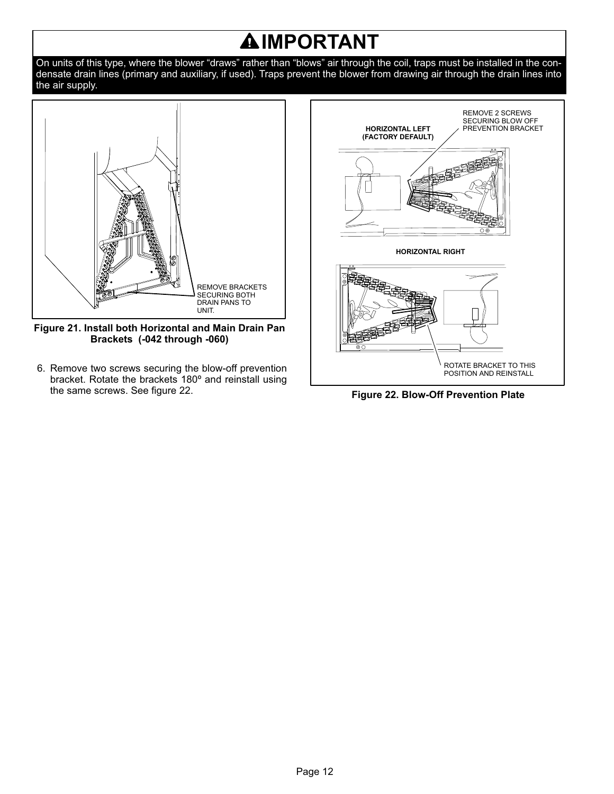# **IMPORTANT**

<span id="page-11-0"></span>On units of this type, where the blower "draws" rather than "blows" air through the coil, traps must be installed in the condensate drain lines (primary and auxiliary, if used). Traps prevent the blower from drawing air through the drain lines into the air supply.



**Figure 21. Install both Horizontal and Main Drain Pan Brackets (-042 through -060)**

6. Remove two screws securing the blow-off prevention bracket. Rotate the brackets 180º and reinstall using the same screws. See figure 22.



**Figure 22. Blow-Off Prevention Plate**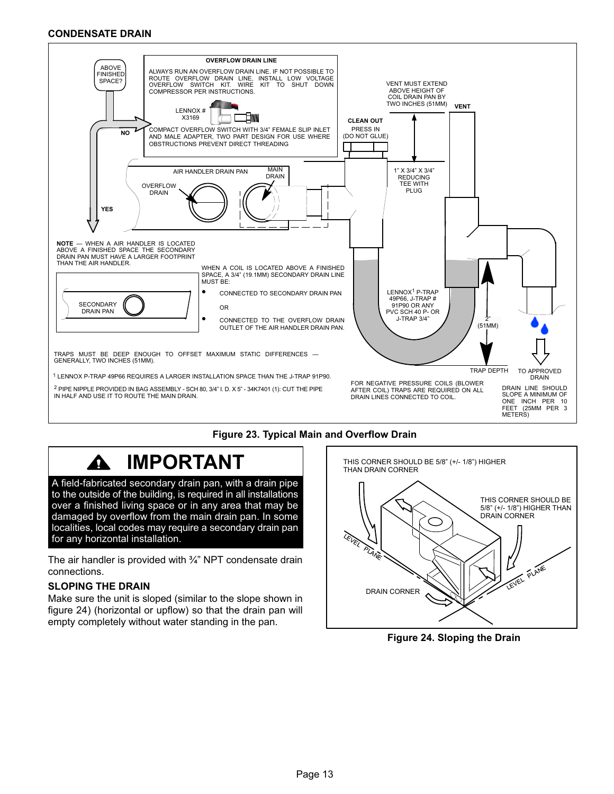#### <span id="page-12-0"></span>**CONDENSATE DRAIN**



#### **Figure 23. Typical Main and Overflow Drain**

#### **IMPORTANT** Δ

A field-fabricated secondary drain pan, with a drain pipe to the outside of the building, is required in all installations over a finished living space or in any area that may be damaged by overflow from the main drain pan. In some localities, local codes may require a secondary drain pan for any horizontal installation.

The air handler is provided with ¾" NPT condensate drain connections.

#### **SLOPING THE DRAIN**

Make sure the unit is sloped (similar to the slope shown in figure 24) (horizontal or upflow) so that the drain pan will empty completely without water standing in the pan.



**Figure 24. Sloping the Drain**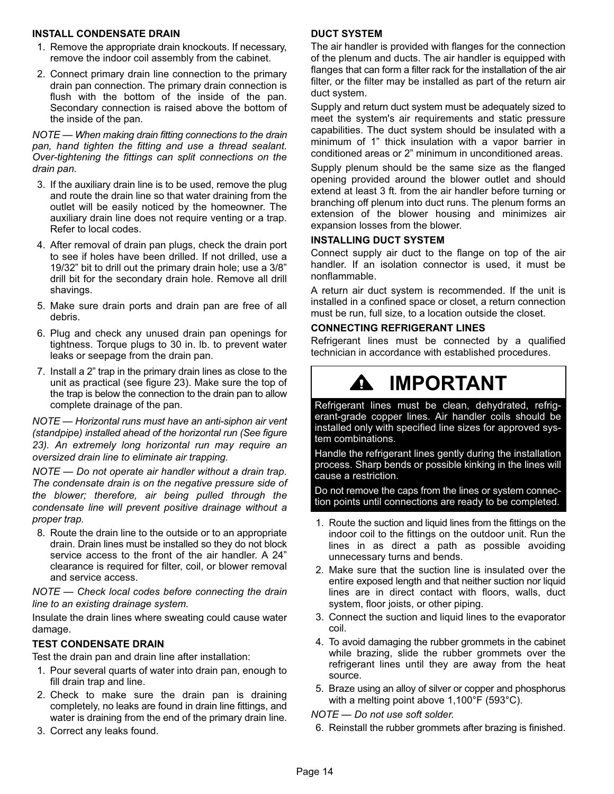#### **INSTALL CONDENSATE DRAIN**

- 1. Remove the appropriate drain knockouts. If necessary, remove the indoor coil assembly from the cabinet.
- 2. Connect primary drain line connection to the primary drain pan connection. The primary drain connection is flush with the bottom of the inside of the pan. Secondary connection is raised above the bottom of the inside of the pan.

*NOTE — When making drain fitting connections to the drain pan, hand tighten the fitting and use a thread sealant. Over-tightening the fittings can split connections on the drain pan.*

- 3. If the auxiliary drain line is to be used, remove the plug and route the drain line so that water draining from the outlet will be easily noticed by the homeowner. The auxiliary drain line does not require venting or a trap. Refer to local codes.
- 4. After removal of drain pan plugs, check the drain port to see if holes have been drilled. If not drilled, use a 19/32" bit to drill out the primary drain hole; use a 3/8" drill bit for the secondary drain hole. Remove all drill shavings.
- 5. Make sure drain ports and drain pan are free of all debris.
- 6. Plug and check any unused drain pan openings for tightness. Torque plugs to 30 in. lb. to prevent water leaks or seepage from the drain pan.
- 7. Install a 2" trap in the primary drain lines as close to the unit as practical (see figure [23\)](#page-12-0). Make sure the top of the trap is below the connection to the drain pan to allow complete drainage of the pan.

*NOTE — Horizontal runs must have an anti-siphon air vent (standpipe) installed ahead of the horizontal run (See figure [23](#page-12-0)). An extremely long horizontal run may require an oversized drain line to eliminate air trapping.*

*NOTE — Do not operate air handler without a drain trap. The condensate drain is on the negative pressure side of the blower; therefore, air being pulled through the condensate line will prevent positive drainage without a proper trap.*

8. Route the drain line to the outside or to an appropriate drain. Drain lines must be installed so they do not block service access to the front of the air handler. A 24" clearance is required for filter, coil, or blower removal and service access.

*NOTE — Check local codes before connecting the drain line to an existing drainage system.*

Insulate the drain lines where sweating could cause water damage.

#### **TEST CONDENSATE DRAIN**

Test the drain pan and drain line after installation:

- 1. Pour several quarts of water into drain pan, enough to fill drain trap and line.
- 2. Check to make sure the drain pan is draining completely, no leaks are found in drain line fittings, and water is draining from the end of the primary drain line.
- 3. Correct any leaks found.

#### **DUCT SYSTEM**

The air handler is provided with flanges for the connection of the plenum and ducts. The air handler is equipped with flanges that can form a filter rack for the installation of the air filter, or the filter may be installed as part of the return air duct system.

Supply and return duct system must be adequately sized to meet the system's air requirements and static pressure capabilities. The duct system should be insulated with a minimum of 1" thick insulation with a vapor barrier in conditioned areas or 2" minimum in unconditioned areas.

Supply plenum should be the same size as the flanged opening provided around the blower outlet and should extend at least 3 ft. from the air handler before turning or branching off plenum into duct runs. The plenum forms an extension of the blower housing and minimizes air expansion losses from the blower.

#### **INSTALLING DUCT SYSTEM**

Connect supply air duct to the flange on top of the air handler. If an isolation connector is used, it must be nonflammable.

A return air duct system is recommended. If the unit is installed in a confined space or closet, a return connection must be run, full size, to a location outside the closet.

#### **CONNECTING REFRIGERANT LINES**

Refrigerant lines must be connected by a qualified technician in accordance with established procedures.

# **IMPORTANT**

Refrigerant lines must be clean, dehydrated, refrigerant-grade copper lines. Air handler coils should be installed only with specified line sizes for approved system combinations.

Handle the refrigerant lines gently during the installation process. Sharp bends or possible kinking in the lines will cause a restriction.

Do not remove the caps from the lines or system connection points until connections are ready to be completed.

- 1. Route the suction and liquid lines from the fittings on the indoor coil to the fittings on the outdoor unit. Run the lines in as direct a path as possible avoiding unnecessary turns and bends.
- 2. Make sure that the suction line is insulated over the entire exposed length and that neither suction nor liquid lines are in direct contact with floors, walls, duct system, floor joists, or other piping.
- 3. Connect the suction and liquid lines to the evaporator coil.
- 4. To avoid damaging the rubber grommets in the cabinet while brazing, slide the rubber grommets over the refrigerant lines until they are away from the heat source.
- 5. Braze using an alloy of silver or copper and phosphorus with a melting point above 1,100°F (593°C).

*NOTE — Do not use soft solder.*

6. Reinstall the rubber grommets after brazing is finished.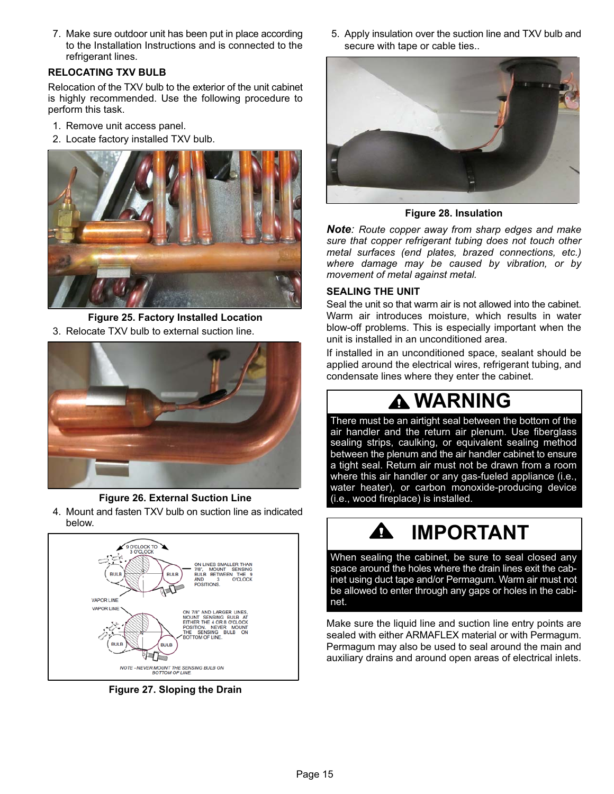7. Make sure outdoor unit has been put in place according to the Installation Instructions and is connected to the refrigerant lines.

#### **RELOCATING TXV BULB**

Relocation of the TXV bulb to the exterior of the unit cabinet is highly recommended. Use the following procedure to perform this task.

- 1. Remove unit access panel.
- 2. Locate factory installed TXV bulb.



**Figure 25. Factory Installed Location** 3. Relocate TXV bulb to external suction line.



**Figure 26. External Suction Line**

4. Mount and fasten TXV bulb on suction line as indicated below.



**Figure 27. Sloping the Drain**

5. Apply insulation over the suction line and TXV bulb and secure with tape or cable ties..



**Figure 28. Insulation**

*Note: Route copper away from sharp edges and make sure that copper refrigerant tubing does not touch other metal surfaces (end plates, brazed connections, etc.) where damage may be caused by vibration, or by movement of metal against metal.*

#### **SEALING THE UNIT**

Seal the unit so that warm air is not allowed into the cabinet. Warm air introduces moisture, which results in water blow-off problems. This is especially important when the unit is installed in an unconditioned area.

If installed in an unconditioned space, sealant should be applied around the electrical wires, refrigerant tubing, and condensate lines where they enter the cabinet.

# **WARNING**

There must be an airtight seal between the bottom of the air handler and the return air plenum. Use fiberglass sealing strips, caulking, or equivalent sealing method between the plenum and the air handler cabinet to ensure a tight seal. Return air must not be drawn from a room where this air handler or any gas-fueled appliance (i.e., water heater), or carbon monoxide-producing device (i.e., wood fireplace) is installed.

# **IMPORTANT**

When sealing the cabinet, be sure to seal closed any space around the holes where the drain lines exit the cabinet using duct tape and/or Permagum. Warm air must not be allowed to enter through any gaps or holes in the cabinet.

Make sure the liquid line and suction line entry points are sealed with either ARMAFLEX material or with Permagum. Permagum may also be used to seal around the main and auxiliary drains and around open areas of electrical inlets.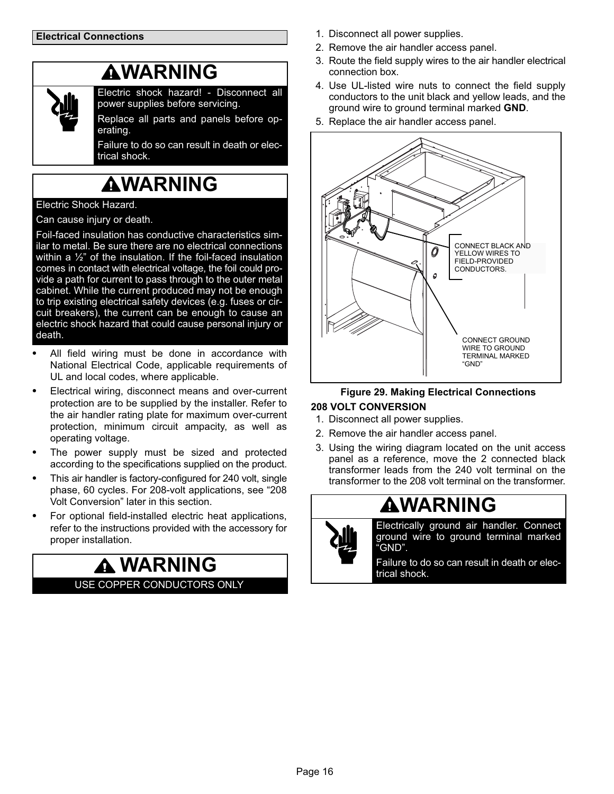### **AWARNING**

<span id="page-15-0"></span>

Electric shock hazard! - Disconnect all power supplies before servicing.

Replace all parts and panels before operating.

Failure to do so can result in death or electrical shock.

# **AWARNING**

#### Electric Shock Hazard.

Can cause injury or death.

Foil‐faced insulation has conductive characteristics similar to metal. Be sure there are no electrical connections within a  $\frac{1}{2}$ " of the insulation. If the foil-faced insulation comes in contact with electrical voltage, the foil could provide a path for current to pass through to the outer metal cabinet. While the current produced may not be enough to trip existing electrical safety devices (e.g. fuses or circuit breakers), the current can be enough to cause an electric shock hazard that could cause personal injury or death.

- - All field wiring must be done in accordance with National Electrical Code, applicable requirements of UL and local codes, where applicable.
- Electrical wiring, disconnect means and over-current protection are to be supplied by the installer. Refer to the air handler rating plate for maximum over-current protection, minimum circuit ampacity, as well as operating voltage.
- The power supply must be sized and protected according to the specifications supplied on the product.
- This air handler is factory-configured for 240 volt, single phase, 60 cycles. For 208-volt applications, see "208 Volt Conversion" later in this section.
- For optional field‐installed electric heat applications, refer to the instructions provided with the accessory for proper installation.

**WARNING** USE COPPER CONDUCTORS ONLY

- 1. Disconnect all power supplies.
- 2. Remove the air handler access panel.
- 3. Route the field supply wires to the air handler electrical connection box.
- 4. Use UL-listed wire nuts to connect the field supply conductors to the unit black and yellow leads, and the ground wire to ground terminal marked **GND**.
- 5. Replace the air handler access panel.



### **Figure 29. Making Electrical Connections**

#### **208 VOLT CONVERSION**

- 1. Disconnect all power supplies.
- 2. Remove the air handler access panel.
- 3. Using the wiring diagram located on the unit access panel as a reference, move the 2 connected black transformer leads from the 240 volt terminal on the transformer to the 208 volt terminal on the transformer.

### **WARNING**



Electrically ground air handler. Connect ground wire to ground terminal marked "GND".

Failure to do so can result in death or electrical shock.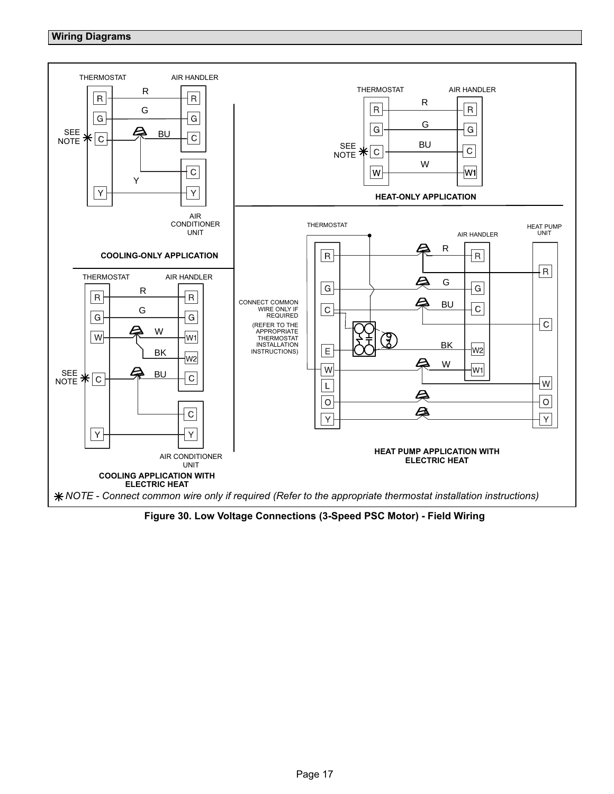#### <span id="page-16-0"></span>**Wiring Diagrams**



**Figure 30. Low Voltage Connections (3-Speed PSC Motor) - Field Wiring**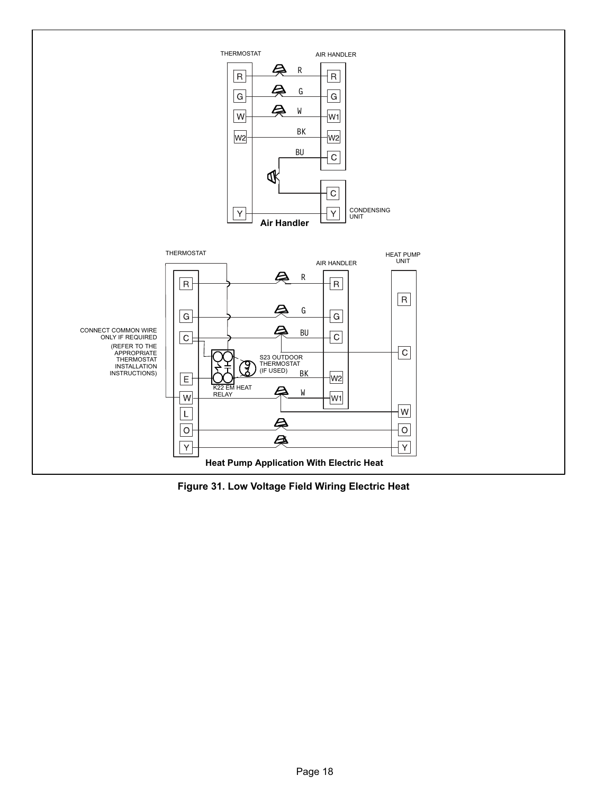<span id="page-17-0"></span>

**Figure 31. Low Voltage Field Wiring Electric Heat**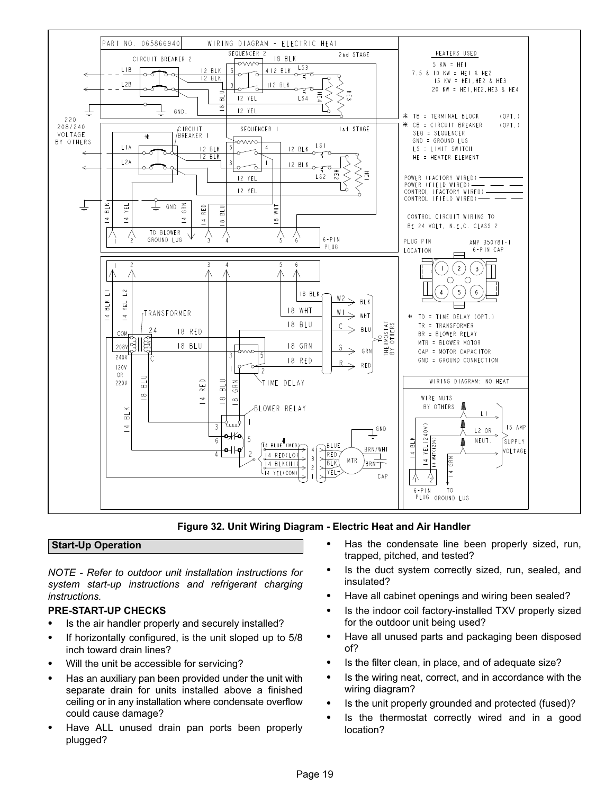<span id="page-18-0"></span>

**Figure 32. Unit Wiring Diagram - Electric Heat and Air Handler**

#### **Start-Up Operation**

*NOTE - Refer to outdoor unit installation instructions for system start-up instructions and refrigerant charging instructions.*

### **PRE‐START‐UP CHECKS** -

- Is the air handler properly and securely installed? -
- If horizontally configured, is the unit sloped up to 5/8 inch toward drain lines?
- Will the unit be accessible for servicing? -
- Has an auxiliary pan been provided under the unit with separate drain for units installed above a finished ceiling or in any installation where condensate overflow could cause damage?
- Have ALL unused drain pan ports been properly plugged?
- Has the condensate line been properly sized, run, trapped, pitched, and tested?
- Is the duct system correctly sized, run, sealed, and insulated?
- Have all cabinet openings and wiring been sealed?
- $\bullet$  Is the indoor coil factory‐installed TXV properly sized for the outdoor unit being used?
- Have all unused parts and packaging been disposed of?
- Is the filter clean, in place, and of adequate size?
- $\bullet$  Is the wiring neat, correct, and in accordance with the wiring diagram?
- Is the unit properly grounded and protected (fused)? -
- Is the thermostat correctly wired and in a good location?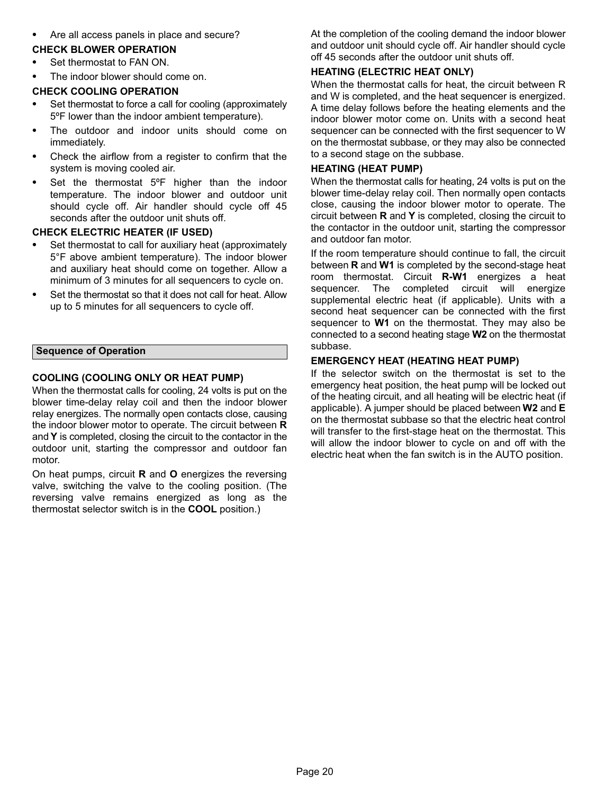<span id="page-19-0"></span>Are all access panels in place and secure?

### **CHECK BLOWER OPERATION** -

- Set thermostat to FAN ON. -
- The indoor blower should come on.

### **CHECK COOLING OPERATION** -

- Set thermostat to force a call for cooling (approximately 5ºF lower than the indoor ambient temperature).
- The outdoor and indoor units should come on immediately.
- Check the airflow from a register to confirm that the system is moving cooled air.
- Set the thermostat 5ºF higher than the indoor temperature. The indoor blower and outdoor unit should cycle off. Air handler should cycle off 45 seconds after the outdoor unit shuts off.

### **CHECK ELECTRIC HEATER (IF USED)** -

- Set thermostat to call for auxiliary heat (approximately 5°F above ambient temperature). The indoor blower and auxiliary heat should come on together. Allow a minimum of 3 minutes for all sequencers to cycle on.
- Set the thermostat so that it does not call for heat. Allow up to 5 minutes for all sequencers to cycle off.

#### **Sequence of Operation**

#### **COOLING (COOLING ONLY OR HEAT PUMP)**

When the thermostat calls for cooling, 24 volts is put on the blower time-delay relay coil and then the indoor blower relay energizes. The normally open contacts close, causing the indoor blower motor to operate. The circuit between **R** and **Y** is completed, closing the circuit to the contactor in the outdoor unit, starting the compressor and outdoor fan motor.

On heat pumps, circuit **R** and **O** energizes the reversing valve, switching the valve to the cooling position. (The reversing valve remains energized as long as the thermostat selector switch is in the **COOL** position.)

At the completion of the cooling demand the indoor blower and outdoor unit should cycle off. Air handler should cycle off 45 seconds after the outdoor unit shuts off.

#### **HEATING (ELECTRIC HEAT ONLY)**

When the thermostat calls for heat, the circuit between R and W is completed, and the heat sequencer is energized. A time delay follows before the heating elements and the indoor blower motor come on. Units with a second heat sequencer can be connected with the first sequencer to W on the thermostat subbase, or they may also be connected to a second stage on the subbase.

#### **HEATING (HEAT PUMP)**

When the thermostat calls for heating, 24 volts is put on the blower time-delay relay coil. Then normally open contacts close, causing the indoor blower motor to operate. The circuit between **R** and **Y** is completed, closing the circuit to the contactor in the outdoor unit, starting the compressor and outdoor fan motor.

If the room temperature should continue to fall, the circuit between **R** and **W1** is completed by the second‐stage heat room thermostat. Circuit **R-W1** energizes a heat sequencer. The completed circuit will energize supplemental electric heat (if applicable). Units with a second heat sequencer can be connected with the first sequencer to **W1** on the thermostat. They may also be connected to a second heating stage **W2** on the thermostat subbase.

#### **EMERGENCY HEAT (HEATING HEAT PUMP)**

If the selector switch on the thermostat is set to the emergency heat position, the heat pump will be locked out of the heating circuit, and all heating will be electric heat (if applicable). A jumper should be placed between **W2** and **E** on the thermostat subbase so that the electric heat control will transfer to the first-stage heat on the thermostat. This will allow the indoor blower to cycle on and off with the electric heat when the fan switch is in the AUTO position.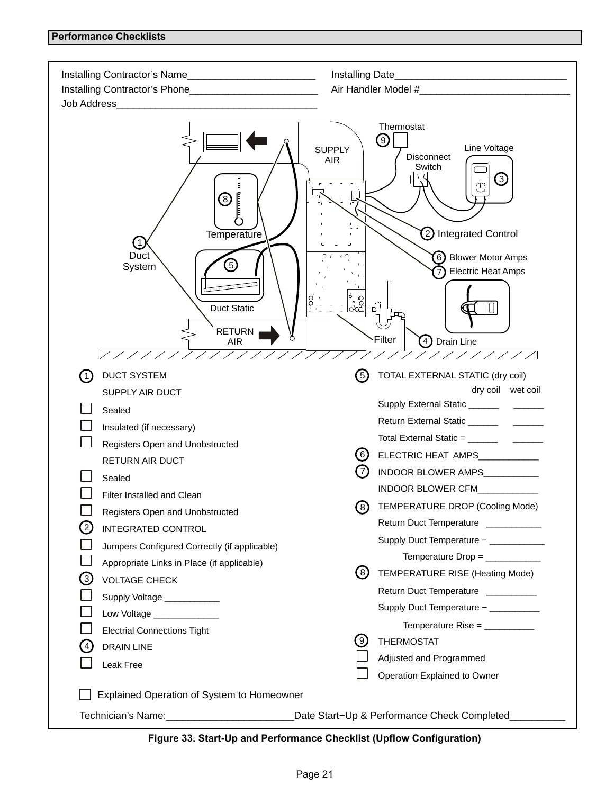<span id="page-20-0"></span>

| Installing Contractor's Name_______________________________<br>Installing Contractor's Phone__________________________ |                                                                                                                                                                                                                                                                                                                                                                                                |
|------------------------------------------------------------------------------------------------------------------------|------------------------------------------------------------------------------------------------------------------------------------------------------------------------------------------------------------------------------------------------------------------------------------------------------------------------------------------------------------------------------------------------|
| ⑧<br>Temperature<br>$\left( 1 \right)$<br>Duct<br>5<br>System<br><b>Duct Static</b><br><b>RETURN</b><br><b>AIR</b>     | Thermostat<br>9<br>Line Voltage<br><b>SUPPLY</b><br>Disconnect<br><b>AIR</b><br>Switch<br>③<br>$\mathcal{D}$<br>2 Integrated Control<br>6) Blower Motor Amps<br><b>Electric Heat Amps</b><br>$\big \mathop{\odot}\limits_{\mathop{\sim}}$<br>Filter<br>Drain Line<br>$\left( 4 \right)$                                                                                                        |
| <b>DUCT SYSTEM</b><br>(1)<br>SUPPLY AIR DUCT                                                                           | (5)<br>TOTAL EXTERNAL STATIC (dry coil)<br>dry coil wet coil                                                                                                                                                                                                                                                                                                                                   |
| Sealed                                                                                                                 |                                                                                                                                                                                                                                                                                                                                                                                                |
| Insulated (if necessary)<br>Registers Open and Unobstructed                                                            | Total External Static = $\frac{1}{\sqrt{1-\frac{1}{2}}\sqrt{1-\frac{1}{2}}\sqrt{1-\frac{1}{2}}\sqrt{1-\frac{1}{2}}\sqrt{1-\frac{1}{2}}\sqrt{1-\frac{1}{2}}\sqrt{1-\frac{1}{2}}\sqrt{1-\frac{1}{2}}\sqrt{1-\frac{1}{2}}\sqrt{1-\frac{1}{2}}\sqrt{1-\frac{1}{2}}\sqrt{1-\frac{1}{2}}\sqrt{1-\frac{1}{2}}\sqrt{1-\frac{1}{2}}\sqrt{1-\frac{1}{2}}\sqrt{1-\frac{1}{2}}\sqrt{1-\frac{1}{2}}\sqrt{1$ |
| RETURN AIR DUCT                                                                                                        | (6)<br>ELECTRIC HEAT AMPS___________                                                                                                                                                                                                                                                                                                                                                           |
| Sealed                                                                                                                 | (7)<br>INDOOR BLOWER AMPS                                                                                                                                                                                                                                                                                                                                                                      |
| Filter Installed and Clean                                                                                             | INDOOR BLOWER CFM                                                                                                                                                                                                                                                                                                                                                                              |
| Registers Open and Unobstructed                                                                                        | TEMPERATURE DROP (Cooling Mode)<br>(8)                                                                                                                                                                                                                                                                                                                                                         |
| <b>INTEGRATED CONTROL</b>                                                                                              | Return Duct Temperature __________                                                                                                                                                                                                                                                                                                                                                             |
| Jumpers Configured Correctly (if applicable)                                                                           | Supply Duct Temperature - ____________                                                                                                                                                                                                                                                                                                                                                         |
| Appropriate Links in Place (if applicable)                                                                             | (8)<br>TEMPERATURE RISE (Heating Mode)                                                                                                                                                                                                                                                                                                                                                         |
| $\left(3\right)$<br><b>VOLTAGE CHECK</b>                                                                               | Return Duct Temperature _________                                                                                                                                                                                                                                                                                                                                                              |
| Supply Voltage ___________<br>Low Voltage _______________                                                              | Supply Duct Temperature - __________                                                                                                                                                                                                                                                                                                                                                           |
| <b>Electrial Connections Tight</b>                                                                                     | Temperature Rise = $\frac{1}{2}$                                                                                                                                                                                                                                                                                                                                                               |
| DRAIN LINE<br>$\left( 4\right)$                                                                                        | $\left( 9\right)$<br><b>THERMOSTAT</b>                                                                                                                                                                                                                                                                                                                                                         |
| Leak Free                                                                                                              | Adjusted and Programmed                                                                                                                                                                                                                                                                                                                                                                        |
|                                                                                                                        | Operation Explained to Owner                                                                                                                                                                                                                                                                                                                                                                   |
| Explained Operation of System to Homeowner                                                                             |                                                                                                                                                                                                                                                                                                                                                                                                |
| Technician's Name: \\connect{\state\}}                                                                                 | Date Start-Up & Performance Check Completed                                                                                                                                                                                                                                                                                                                                                    |

**Figure 33. Start-Up and Performance Checklist (Upflow Configuration)**